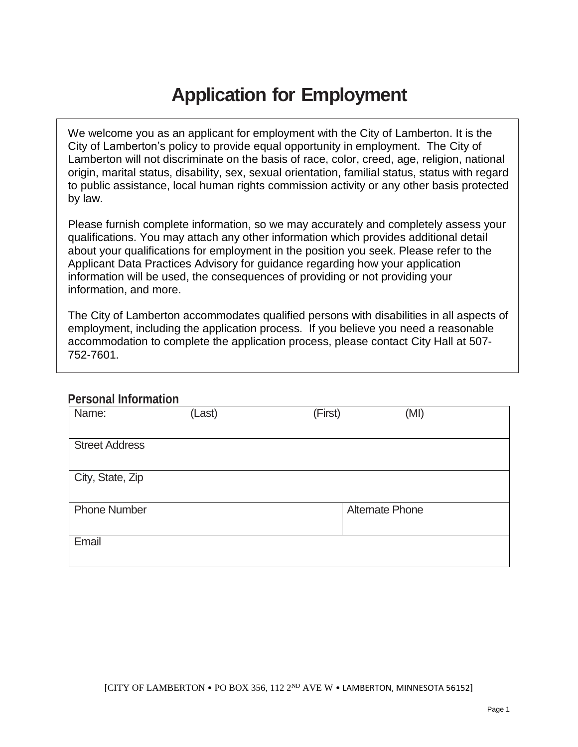## **Application for Employment**

We welcome you as an applicant for employment with the City of Lamberton. It is the City of Lamberton's policy to provide equal opportunity in employment. The City of Lamberton will not discriminate on the basis of race, color, creed, age, religion, national origin, marital status, disability, sex, sexual orientation, familial status, status with regard to public assistance, local human rights commission activity or any other basis protected by law.

Please furnish complete information, so we may accurately and completely assess your qualifications. You may attach any other information which provides additional detail about your qualifications for employment in the position you seek. Please refer to the Applicant Data Practices Advisory for guidance regarding how your application information will be used, the consequences of providing or not providing your information, and more.

The City of Lamberton accommodates qualified persons with disabilities in all aspects of employment, including the application process. If you believe you need a reasonable accommodation to complete the application process, please contact City Hall at 507- 752-7601.

### **Personal Information**

| Name:                 | (Last) | (First) | (MI)                   |
|-----------------------|--------|---------|------------------------|
|                       |        |         |                        |
|                       |        |         |                        |
| <b>Street Address</b> |        |         |                        |
|                       |        |         |                        |
|                       |        |         |                        |
|                       |        |         |                        |
| City, State, Zip      |        |         |                        |
|                       |        |         |                        |
|                       |        |         |                        |
|                       |        |         |                        |
| <b>Phone Number</b>   |        |         | <b>Alternate Phone</b> |
|                       |        |         |                        |
|                       |        |         |                        |
|                       |        |         |                        |
| Email                 |        |         |                        |
|                       |        |         |                        |
|                       |        |         |                        |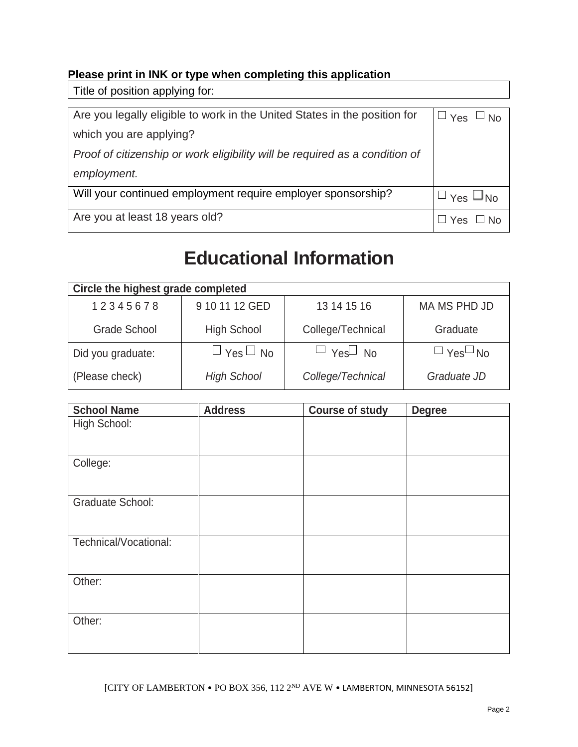### **Please print in INK or type when completing this application**

Title of position applying for:

| Are you legally eligible to work in the United States in the position for   | $\sqcup$ Yes $\sqcup$ No |
|-----------------------------------------------------------------------------|--------------------------|
| which you are applying?                                                     |                          |
| Proof of citizenship or work eligibility will be required as a condition of |                          |
| employment.                                                                 |                          |
| Will your continued employment require employer sponsorship?                | $\Box$ Yes $\Box$ No     |
| Are you at least 18 years old?                                              | コ Yes ロ No               |

## **Educational Information**

| Circle the highest grade completed |                        |                      |                      |
|------------------------------------|------------------------|----------------------|----------------------|
| 12345678                           | 9 10 11 12 GED         | 13 14 15 16          | MA MS PHD JD         |
| <b>Grade School</b>                | <b>High School</b>     | College/Technical    | Graduate             |
| Did you graduate:                  | $\sqcup$ Yes $\Box$ No | $\Box$ Yes $\Box$ No | $\Box$ Yes $\Box$ No |
| (Please check)                     | <b>High School</b>     | College/Technical    | Graduate JD          |

| <b>School Name</b>      | <b>Address</b> | <b>Course of study</b> | <b>Degree</b> |
|-------------------------|----------------|------------------------|---------------|
| High School:            |                |                        |               |
| College:                |                |                        |               |
| <b>Graduate School:</b> |                |                        |               |
| Technical/Vocational:   |                |                        |               |
| Other:                  |                |                        |               |
| Other:                  |                |                        |               |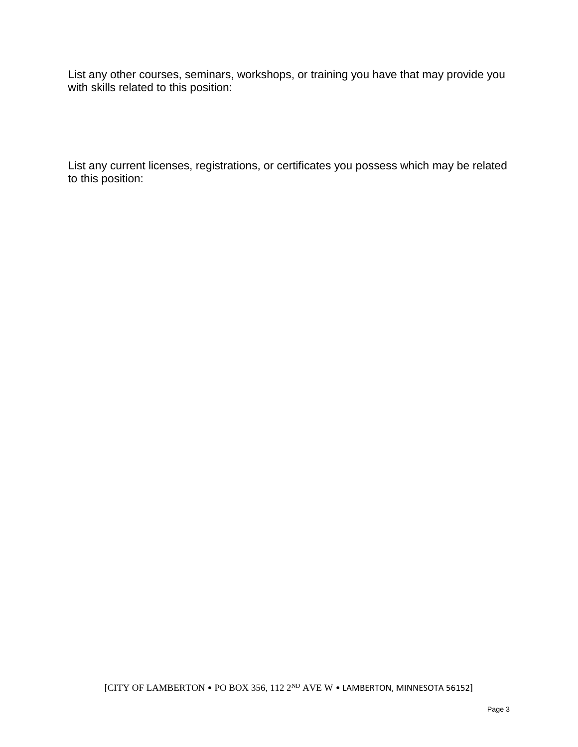List any other courses, seminars, workshops, or training you have that may provide you with skills related to this position:

List any current licenses, registrations, or certificates you possess which may be related to this position: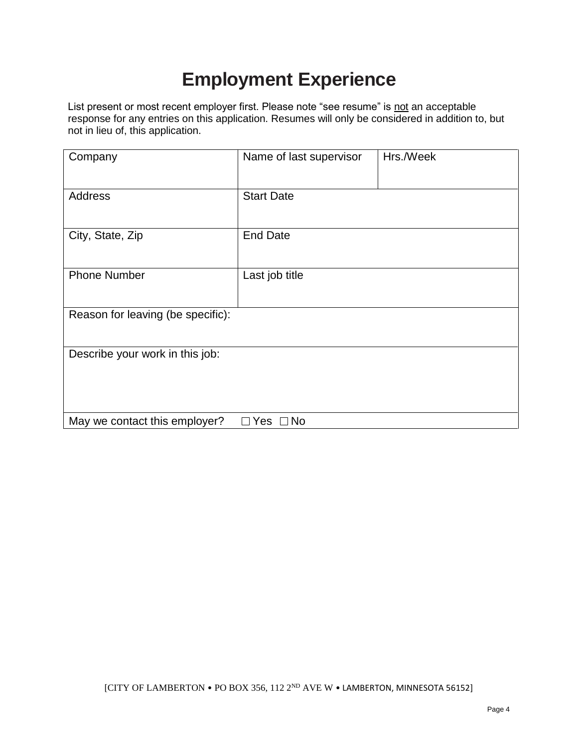# **Employment Experience**

List present or most recent employer first. Please note "see resume" is not an acceptable response for any entries on this application. Resumes will only be considered in addition to, but not in lieu of, this application.

| Company                           | Name of last supervisor | Hrs./Week |
|-----------------------------------|-------------------------|-----------|
| <b>Address</b>                    | <b>Start Date</b>       |           |
| City, State, Zip                  | <b>End Date</b>         |           |
| <b>Phone Number</b>               | Last job title          |           |
| Reason for leaving (be specific): |                         |           |
| Describe your work in this job:   |                         |           |
| May we contact this employer?     | Yes<br>$\square$ No     |           |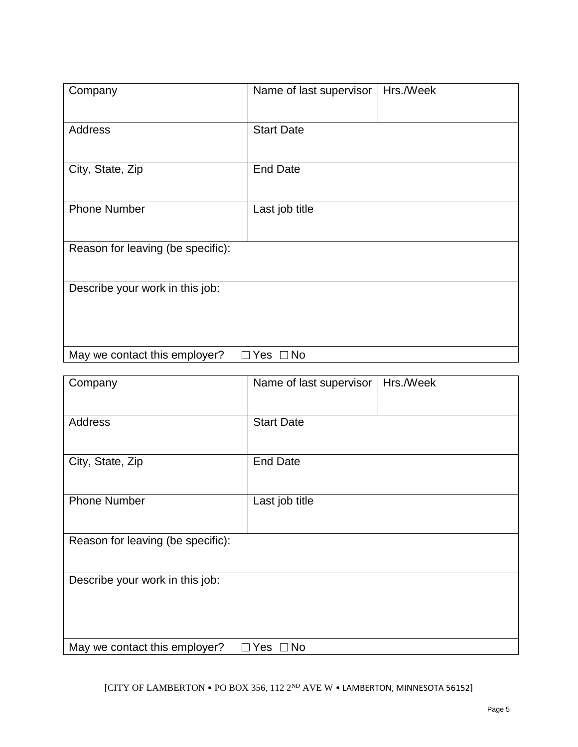| Company                           | Hrs./Week<br>Name of last supervisor |
|-----------------------------------|--------------------------------------|
| Address                           | <b>Start Date</b>                    |
| City, State, Zip                  | <b>End Date</b>                      |
| <b>Phone Number</b>               | Last job title                       |
| Reason for leaving (be specific): |                                      |
| Describe your work in this job:   |                                      |
| May we contact this employer?     | $\Box$ Yes<br>$\Box$ No              |

| Company                                 | Name of last supervisor | Hrs./Week |
|-----------------------------------------|-------------------------|-----------|
| Address                                 | <b>Start Date</b>       |           |
| City, State, Zip                        | <b>End Date</b>         |           |
| <b>Phone Number</b>                     | Last job title          |           |
| Reason for leaving (be specific):       |                         |           |
| Describe your work in this job:         |                         |           |
| May we contact this employer?<br>$\Box$ | lYes □No                |           |

[CITY OF LAMBERTON • PO BOX 356, 112 2ND AVE W • LAMBERTON, MINNESOTA 56152]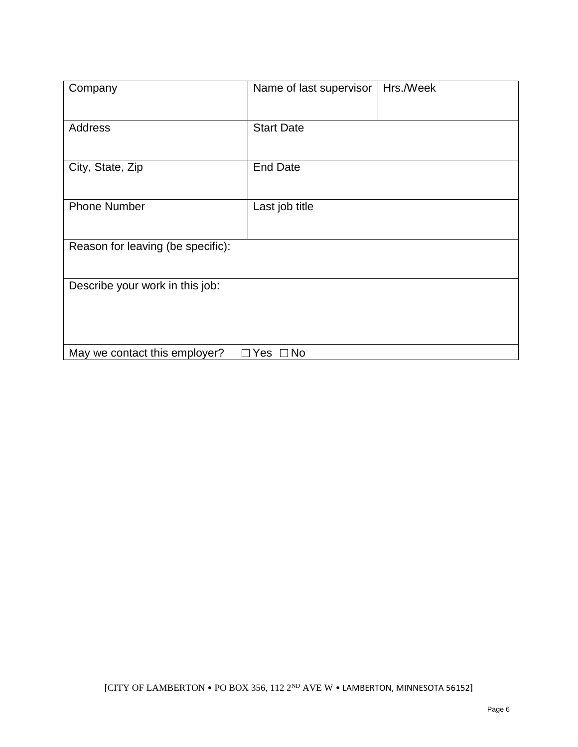| Company                           | Name of last supervisor | Hrs./Week |
|-----------------------------------|-------------------------|-----------|
| <b>Address</b>                    | <b>Start Date</b>       |           |
| City, State, Zip                  | <b>End Date</b>         |           |
| <b>Phone Number</b>               | Last job title          |           |
| Reason for leaving (be specific): |                         |           |
| Describe your work in this job:   |                         |           |
| May we contact this employer?     | $\Box$ Yes $\Box$ No    |           |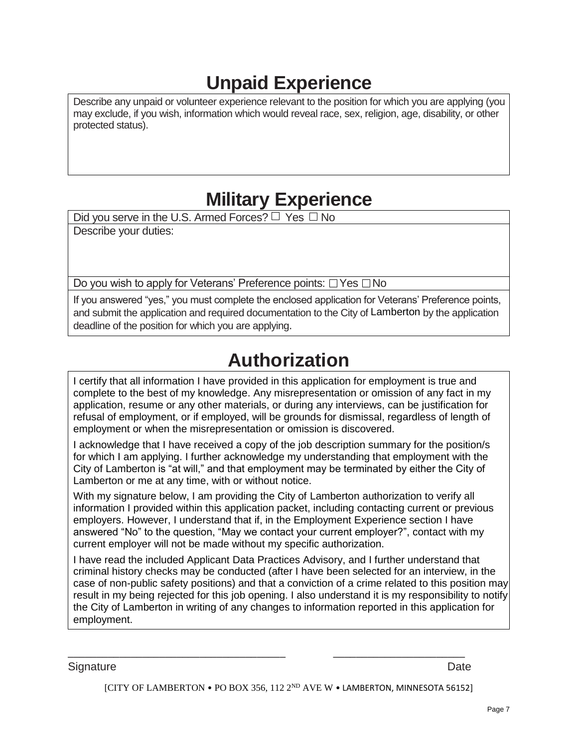# **Unpaid Experience**

Describe any unpaid or volunteer experience relevant to the position for which you are applying (you may exclude, if you wish, information which would reveal race, sex, religion, age, disability, or other protected status).

## **Military Experience**

Did you serve in the U.S. Armed Forces?  $\Box$  Yes  $\Box$  No Describe your duties:

Do you wish to apply for Veterans' Preference points:  $\Box$  Yes  $\Box$  No

If you answered "yes," you must complete the enclosed application for Veterans' Preference points, and submit the application and required documentation to the City of Lamberton by the application deadline of the position for which you are applying.

## **Authorization**

I certify that all information I have provided in this application for employment is true and complete to the best of my knowledge. Any misrepresentation or omission of any fact in my application, resume or any other materials, or during any interviews, can be justification for refusal of employment, or if employed, will be grounds for dismissal, regardless of length of employment or when the misrepresentation or omission is discovered.

I acknowledge that I have received a copy of the job description summary for the position/s for which I am applying. I further acknowledge my understanding that employment with the City of Lamberton is "at will," and that employment may be terminated by either the City of Lamberton or me at any time, with or without notice.

With my signature below, I am providing the City of Lamberton authorization to verify all information I provided within this application packet, including contacting current or previous employers. However, I understand that if, in the Employment Experience section I have answered "No" to the question, "May we contact your current employer?", contact with my current employer will not be made without my specific authorization.

I have read the included Applicant Data Practices Advisory, and I further understand that criminal history checks may be conducted (after I have been selected for an interview, in the case of non-public safety positions) and that a conviction of a crime related to this position may result in my being rejected for this job opening. I also understand it is my responsibility to notify the City of Lamberton in writing of any changes to information reported in this application for employment.

Signature Date **Date** 

[CITY OF LAMBERTON • PO BOX 356, 112 2ND AVE W • LAMBERTON, MINNESOTA 56152]

\_\_\_\_\_\_\_\_\_\_\_\_\_\_\_\_\_\_\_\_\_\_\_\_\_\_\_\_\_\_\_\_\_\_\_\_\_\_ \_\_\_\_\_\_\_\_\_\_\_\_\_\_\_\_\_\_\_\_\_\_\_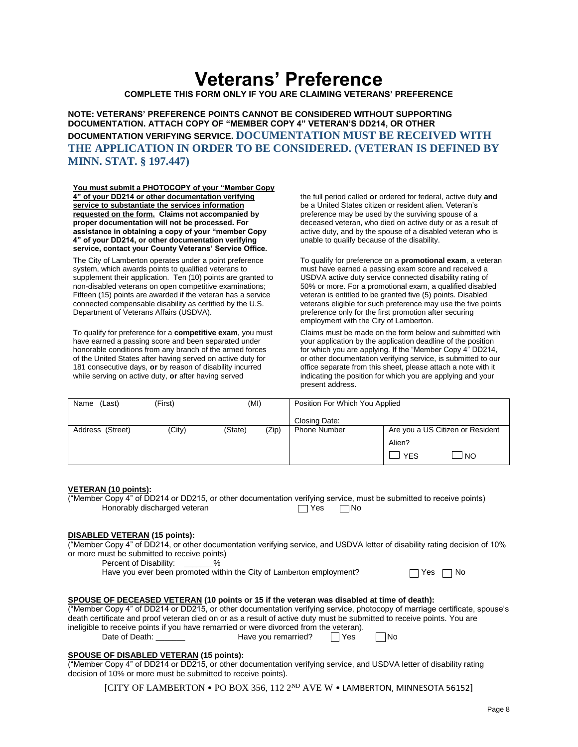## **Veterans' Preference**

**COMPLETE THIS FORM ONLY IF YOU ARE CLAIMING VETERANS' PREFERENCE**

**NOTE: VETERANS' PREFERENCE POINTS CANNOT BE CONSIDERED WITHOUT SUPPORTING DOCUMENTATION. ATTACH COPY OF "MEMBER COPY 4" VETERAN'S DD214, OR OTHER DOCUMENTATION VERIFYING SERVICE. DOCUMENTATION MUST BE RECEIVED WITH THE APPLICATION IN ORDER TO BE CONSIDERED. (VETERAN IS DEFINED BY MINN. STAT. § 197.447)**

**You must submit a PHOTOCOPY of your "Member Copy 4" of your DD214 or other documentation verifying service to substantiate the services information requested on the form. Claims not accompanied by proper documentation will not be processed. For assistance in obtaining a copy of your "member Copy 4" of your DD214, or other documentation verifying service, contact your County Veterans' Service Office.**

The City of Lamberton operates under a point preference system, which awards points to qualified veterans to supplement their application. Ten (10) points are granted to non-disabled veterans on open competitive examinations; Fifteen (15) points are awarded if the veteran has a service connected compensable disability as certified by the U.S. Department of Veterans Affairs (USDVA).

To qualify for preference for a **competitive exam**, you must have earned a passing score and been separated under honorable conditions from any branch of the armed forces of the United States after having served on active duty for 181 consecutive days, **or** by reason of disability incurred while serving on active duty, **or** after having served

the full period called **or** ordered for federal, active duty **and** be a United States citizen or resident alien. Veteran's preference may be used by the surviving spouse of a deceased veteran, who died on active duty or as a result of active duty, and by the spouse of a disabled veteran who is unable to qualify because of the disability.

To qualify for preference on a **promotional exam**, a veteran must have earned a passing exam score and received a USDVA active duty service connected disability rating of 50% or more. For a promotional exam, a qualified disabled veteran is entitled to be granted five (5) points. Disabled veterans eligible for such preference may use the five points preference only for the first promotion after securing employment with the City of Lamberton.

Claims must be made on the form below and submitted with your application by the application deadline of the position for which you are applying. If the "Member Copy 4" DD214, or other documentation verifying service, is submitted to our office separate from this sheet, please attach a note with it indicating the position for which you are applying and your present address.

| (Last)<br>Name   | (First) | (MI)    |       | Position For Which You Applied |                                  |
|------------------|---------|---------|-------|--------------------------------|----------------------------------|
|                  |         |         |       | Closing Date:                  |                                  |
| Address (Street) | (City)  | (State) | (Zip) | <b>Phone Number</b>            | Are you a US Citizen or Resident |
|                  |         |         |       |                                | Alien?                           |
|                  |         |         |       |                                | <sub>NO</sub><br><b>YES</b>      |

### **VETERAN (10 points):**

("Member Copy 4" of DD214 or DD215, or other documentation verifying service, must be submitted to receive points) Honorably discharged veteran TVes No

### **DISABLED VETERAN (15 points):**

("Member Copy 4" of DD214, or other documentation verifying service, and USDVA letter of disability rating decision of 10% or more must be submitted to receive points)

Percent of Disability:  $\%$ 

Have you ever been promoted within the City of Lamberton employment?

|  | Nr |
|--|----|
|--|----|

#### **SPOUSE OF DECEASED VETERAN (10 points or 15 if the veteran was disabled at time of death):**

("Member Copy 4" of DD214 or DD215, or other documentation verifying service, photocopy of marriage certificate, spouse's death certificate and proof veteran died on or as a result of active duty must be submitted to receive points. You are ineligible to receive points if you have remarried or were divorced from the veteran).<br>Date of Death: Have you remarried?

Have you remarried?  $\Box$  Yes  $\Box$  No

### **SPOUSE OF DISABLED VETERAN (15 points):**

("Member Copy 4" of DD214 or DD215, or other documentation verifying service, and USDVA letter of disability rating decision of 10% or more must be submitted to receive points).

[CITY OF LAMBERTON • PO BOX 356, 112 2ND AVE W • LAMBERTON, MINNESOTA 56152]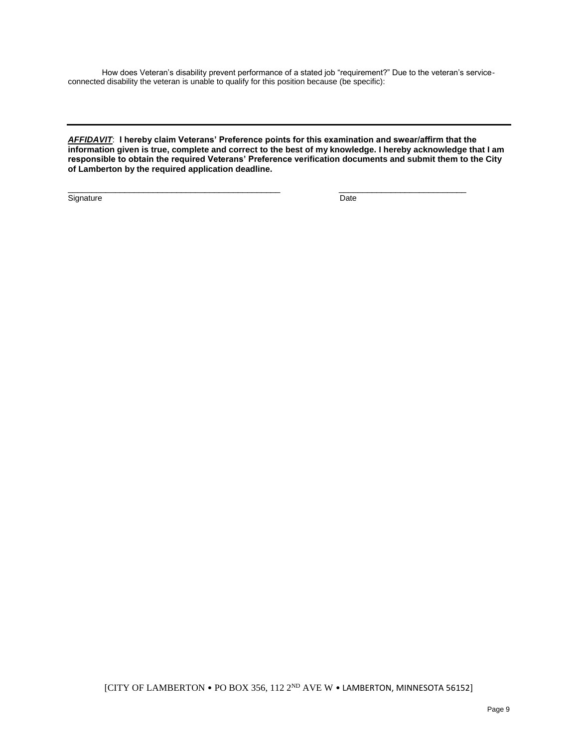How does Veteran's disability prevent performance of a stated job "requirement?" Due to the veteran's serviceconnected disability the veteran is unable to qualify for this position because (be specific):

*AFFIDAVIT*: **I hereby claim Veterans' Preference points for this examination and swear/affirm that the information given is true, complete and correct to the best of my knowledge. I hereby acknowledge that I am responsible to obtain the required Veterans' Preference verification documents and submit them to the City of Lamberton by the required application deadline.**

 $\overline{\phantom{a}}$  , and the contribution of the contribution of the contribution of the contribution of the contribution of the contribution of the contribution of the contribution of the contribution of the contribution of the

Signature Date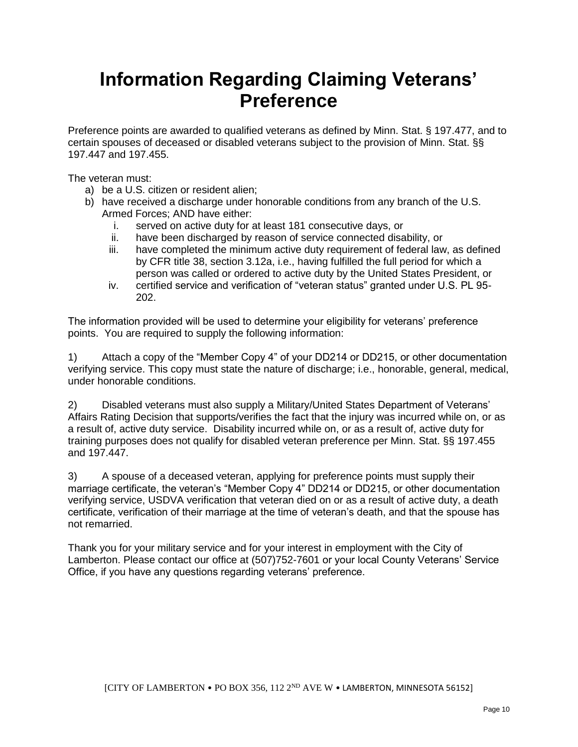## **Information Regarding Claiming Veterans' Preference**

Preference points are awarded to qualified veterans as defined by Minn. Stat. § 197.477, and to certain spouses of deceased or disabled veterans subject to the provision of Minn. Stat. §§ 197.447 and 197.455.

The veteran must:

- a) be a U.S. citizen or resident alien;
- b) have received a discharge under honorable conditions from any branch of the U.S. Armed Forces; AND have either:
	- i. served on active duty for at least 181 consecutive days, or
	- ii. have been discharged by reason of service connected disability, or
	- iii. have completed the minimum active duty requirement of federal law, as defined by CFR title 38, section 3.12a, i.e., having fulfilled the full period for which a person was called or ordered to active duty by the United States President, or
	- iv. certified service and verification of "veteran status" granted under U.S. PL 95- 202.

The information provided will be used to determine your eligibility for veterans' preference points. You are required to supply the following information:

1) Attach a copy of the "Member Copy 4" of your DD214 or DD215, or other documentation verifying service. This copy must state the nature of discharge; i.e., honorable, general, medical, under honorable conditions.

2) Disabled veterans must also supply a Military/United States Department of Veterans' Affairs Rating Decision that supports/verifies the fact that the injury was incurred while on, or as a result of, active duty service. Disability incurred while on, or as a result of, active duty for training purposes does not qualify for disabled veteran preference per Minn. Stat. §§ 197.455 and 197.447.

3) A spouse of a deceased veteran, applying for preference points must supply their marriage certificate, the veteran's "Member Copy 4" DD214 or DD215, or other documentation verifying service, USDVA verification that veteran died on or as a result of active duty, a death certificate, verification of their marriage at the time of veteran's death, and that the spouse has not remarried.

Thank you for your military service and for your interest in employment with the City of Lamberton. Please contact our office at (507)752-7601 or your local County Veterans' Service Office, if you have any questions regarding veterans' preference.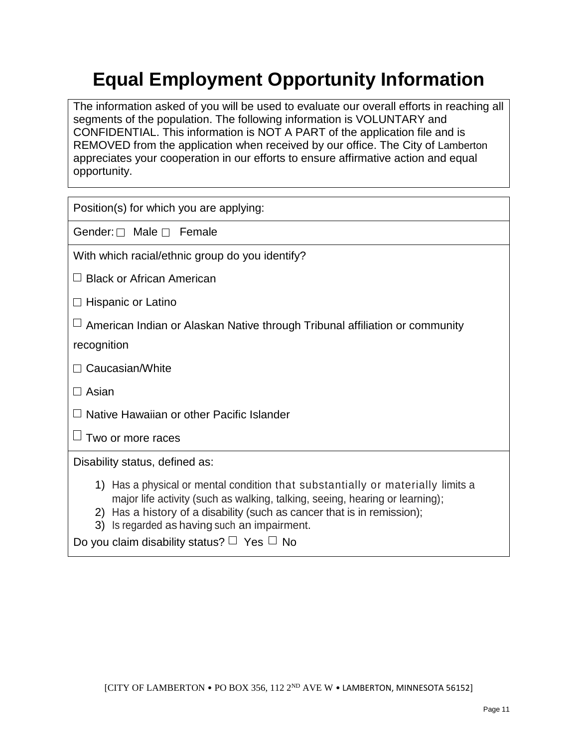# **Equal Employment Opportunity Information**

The information asked of you will be used to evaluate our overall efforts in reaching all segments of the population. The following information is VOLUNTARY and CONFIDENTIAL. This information is NOT A PART of the application file and is REMOVED from the application when received by our office. The City of Lamberton appreciates your cooperation in our efforts to ensure affirmative action and equal opportunity.

| Position(s) for which you are applying:                                                                                                                                                                                                                                                                                                            |
|----------------------------------------------------------------------------------------------------------------------------------------------------------------------------------------------------------------------------------------------------------------------------------------------------------------------------------------------------|
| Gender: $\Box$ Male $\Box$ Female                                                                                                                                                                                                                                                                                                                  |
| With which racial/ethnic group do you identify?                                                                                                                                                                                                                                                                                                    |
| $\Box$ Black or African American                                                                                                                                                                                                                                                                                                                   |
| $\Box$ Hispanic or Latino                                                                                                                                                                                                                                                                                                                          |
| $\sqcup$ American Indian or Alaskan Native through Tribunal affiliation or community                                                                                                                                                                                                                                                               |
| recognition                                                                                                                                                                                                                                                                                                                                        |
| $\Box$ Caucasian/White                                                                                                                                                                                                                                                                                                                             |
| $\Box$ Asian                                                                                                                                                                                                                                                                                                                                       |
| $\Box$ Native Hawaiian or other Pacific Islander                                                                                                                                                                                                                                                                                                   |
| Two or more races                                                                                                                                                                                                                                                                                                                                  |
| Disability status, defined as:                                                                                                                                                                                                                                                                                                                     |
| 1) Has a physical or mental condition that substantially or materially limits a<br>major life activity (such as walking, talking, seeing, hearing or learning);<br>2) Has a history of a disability (such as cancer that is in remission);<br>3) Is regarded as having such an impairment.<br>Do you claim disability status? $\Box$ Yes $\Box$ No |